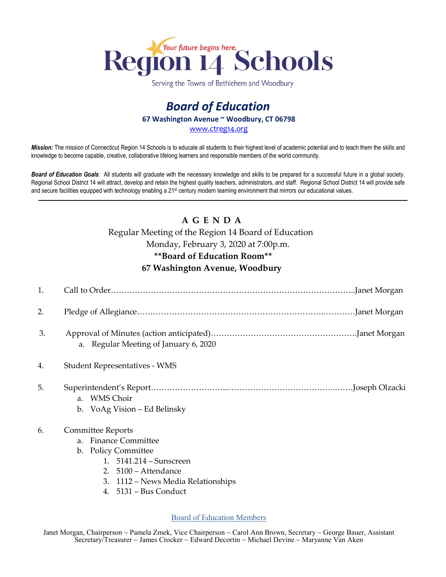

Serving the Towns of Bethlehem and Woodbury

# *Board of Education* **67 Washington Avenue ~ Woodbury, CT 06798** [www.ctreg14.org](http://www.ctreg14.org/)

*Mission:* The mission of Connecticut Region 14 Schools is to educate all students to their highest level of academic potential and to teach them the skills and knowledge to become capable, creative, collaborative lifelong learners and responsible members of the world community.

Board of Education Goals: All students will graduate with the necessary knowledge and skills to be prepared for a successful future in a global society. Regional School District 14 will attract, develop and retain the highest quality teachers, administrators, and staff. Regional School District 14 will provide safe and secure facilities equipped with technology enabling a 21<sup>st</sup> century modern learning environment that mirrors our educational values.

# **A G E N D A**

#### Regular Meeting of the Region 14 Board of Education

Monday, February 3, 2020 at 7:00p.m.

## **\*\*Board of Education Room\*\***

## **67 Washington Avenue, Woodbury**

| 1. |                                            |
|----|--------------------------------------------|
| 2. |                                            |
| 3. | a. Regular Meeting of January 6, 2020      |
| 4. | <b>Student Representatives - WMS</b>       |
| 5. |                                            |
|    | a. WMS Choir                               |
|    | b. VoAg Vision – Ed Belinsky               |
| 6. | <b>Committee Reports</b>                   |
|    | <b>Finance Committee</b><br>a <sub>z</sub> |
|    | b. Policy Committee                        |
|    | 1. 5141.214 - Sunscreen                    |
|    | 2. 5100 - Attendance                       |
|    | 1112 – News Media Relationships<br>3.      |
|    | 5131 – Bus Conduct<br>$4_{\cdot}$          |
|    |                                            |

Board of Education Members

Janet Morgan, Chairperson ~ Pamela Zmek, Vice Chairperson ~ Carol Ann Brown, Secretary ~ George Bauer, Assistant Secretary/Treasurer ~ James Crocker ~ Edward Decortin ~ Michael Devine ~ Maryanne Van Aken